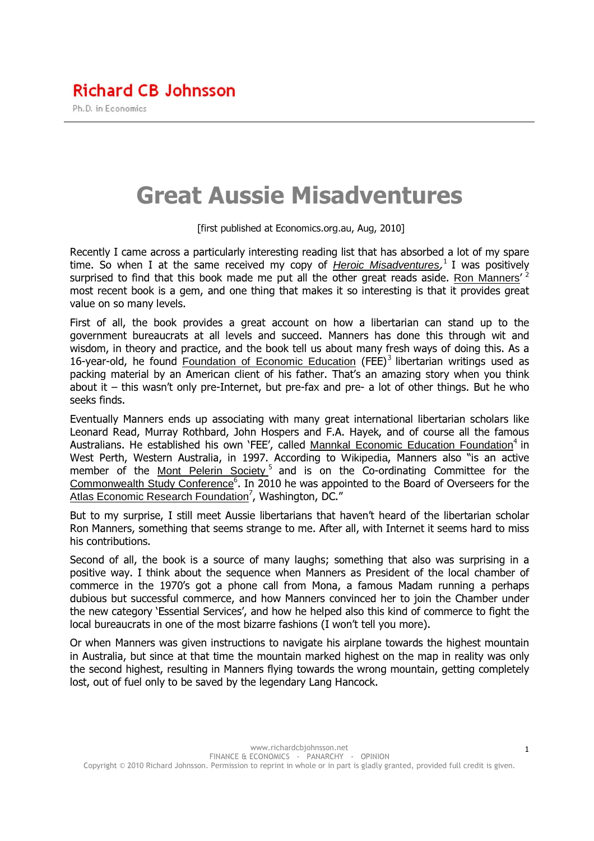## Great Aussie Misadventures

[first published at Economics.org.au, Aug, 2010]

Recently I came across a particularly interesting reading list that has absorbed a lot of my spare time. So when I at the same received my copy of *Heroic Misadventures*, <sup>1</sup> I was positively surprised to find that this book made me put all the other great reads aside. Ron Manners' <sup>2</sup> most recent book is a gem, and one thing that makes it so interesting is that it provides great value on so many levels.

First of all, the book provides a great account on how a libertarian can stand up to the government bureaucrats at all levels and succeed. Manners has done this through wit and wisdom, in theory and practice, and the book tell us about many fresh ways of doing this. As a 16-year-old, he found Foundation of Economic Education (FEE)<sup>3</sup> libertarian writings used as packing material by an American client of his father. That's an amazing story when you think about it – this wasn't only pre-Internet, but pre-fax and pre- a lot of other things. But he who seeks finds.

Eventually Manners ends up associating with many great international libertarian scholars like Leonard Read, Murray Rothbard, John Hospers and F.A. Hayek, and of course all the famous Australians. He established his own 'FEE', called Mannkal Economic Education Foundation<sup>4</sup> in West Perth, Western Australia, in 1997. According to Wikipedia, Manners also "is an active member of the Mont Pelerin Society<sup>5</sup> and is on the Co-ordinating Committee for the Commonwealth Study Conference<sup>6</sup>. In 2010 he was appointed to the Board of Overseers for the Atlas Economic Research Foundation<sup>7</sup>, Washington, DC."

But to my surprise, I still meet Aussie libertarians that haven't heard of the libertarian scholar Ron Manners, something that seems strange to me. After all, with Internet it seems hard to miss his contributions.

Second of all, the book is a source of many laughs; something that also was surprising in a positive way. I think about the sequence when Manners as President of the local chamber of commerce in the 1970's got a phone call from Mona, a famous Madam running a perhaps dubious but successful commerce, and how Manners convinced her to join the Chamber under the new category 'Essential Services', and how he helped also this kind of commerce to fight the local bureaucrats in one of the most bizarre fashions (I won't tell you more).

Or when Manners was given instructions to navigate his airplane towards the highest mountain in Australia, but since at that time the mountain marked highest on the map in reality was only the second highest, resulting in Manners flying towards the wrong mountain, getting completely lost, out of fuel only to be saved by the legendary Lang Hancock.